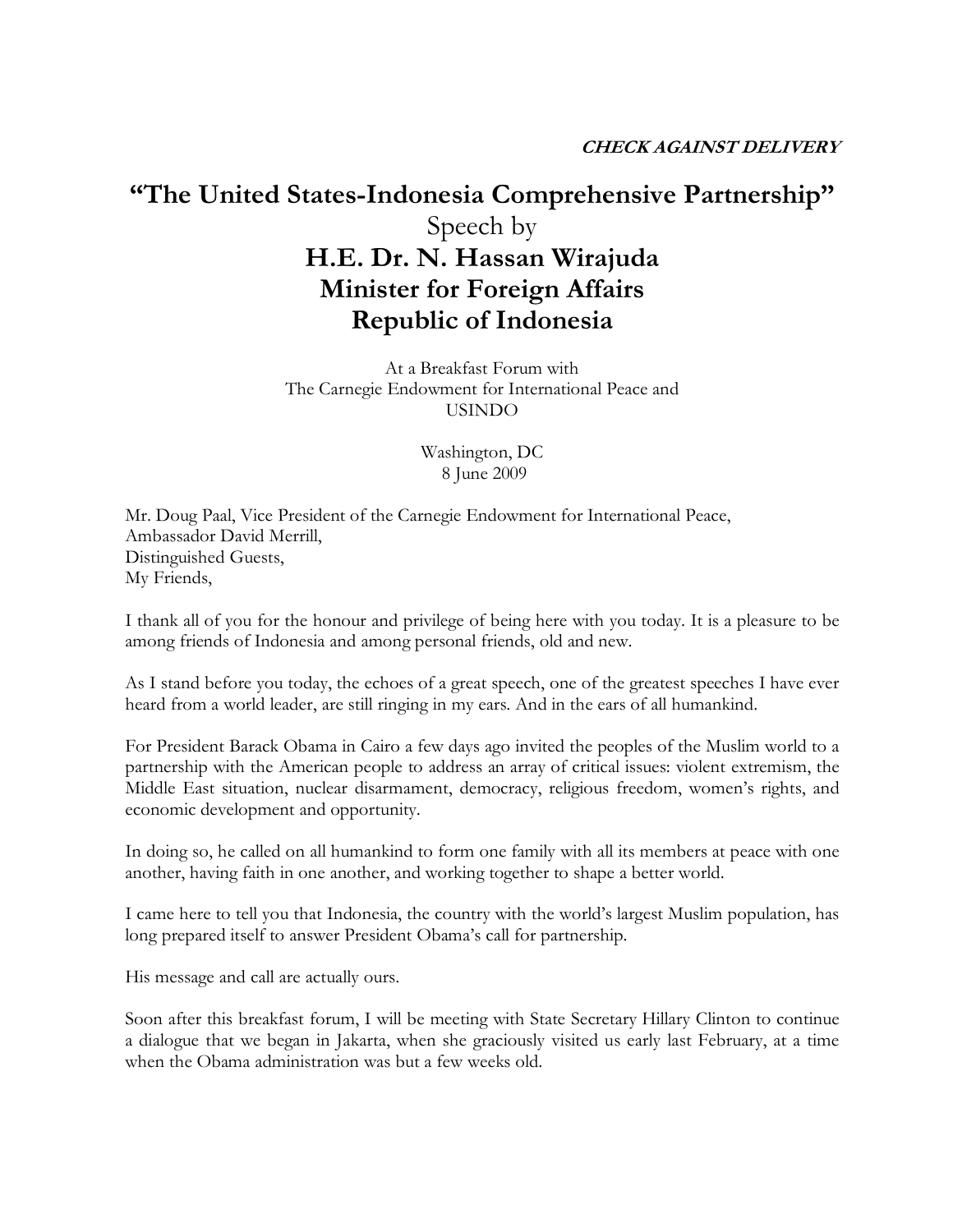## "The United States-Indonesia Comprehensive Partnership" Speech by H.E. Dr. N. Hassan Wirajuda Minister for Foreign Affairs Republic of Indonesia

At a Breakfast Forum with The Carnegie Endowment for International Peace and USINDO

> Washington, DC 8 June 2009

Mr. Doug Paal, Vice President of the Carnegie Endowment for International Peace, Ambassador David Merrill, Distinguished Guests, My Friends,

I thank all of you for the honour and privilege of being here with you today. It is a pleasure to be among friends of Indonesia and among personal friends, old and new.

As I stand before you today, the echoes of a great speech, one of the greatest speeches I have ever heard from a world leader, are still ringing in my ears. And in the ears of all humankind.

For President Barack Obama in Cairo a few days ago invited the peoples of the Muslim world to a partnership with the American people to address an array of critical issues: violent extremism, the Middle East situation, nuclear disarmament, democracy, religious freedom, women's rights, and economic development and opportunity.

In doing so, he called on all humankind to form one family with all its members at peace with one another, having faith in one another, and working together to shape a better world.

I came here to tell you that Indonesia, the country with the world's largest Muslim population, has long prepared itself to answer President Obama's call for partnership.

His message and call are actually ours.

Soon after this breakfast forum, I will be meeting with State Secretary Hillary Clinton to continue a dialogue that we began in Jakarta, when she graciously visited us early last February, at a time when the Obama administration was but a few weeks old.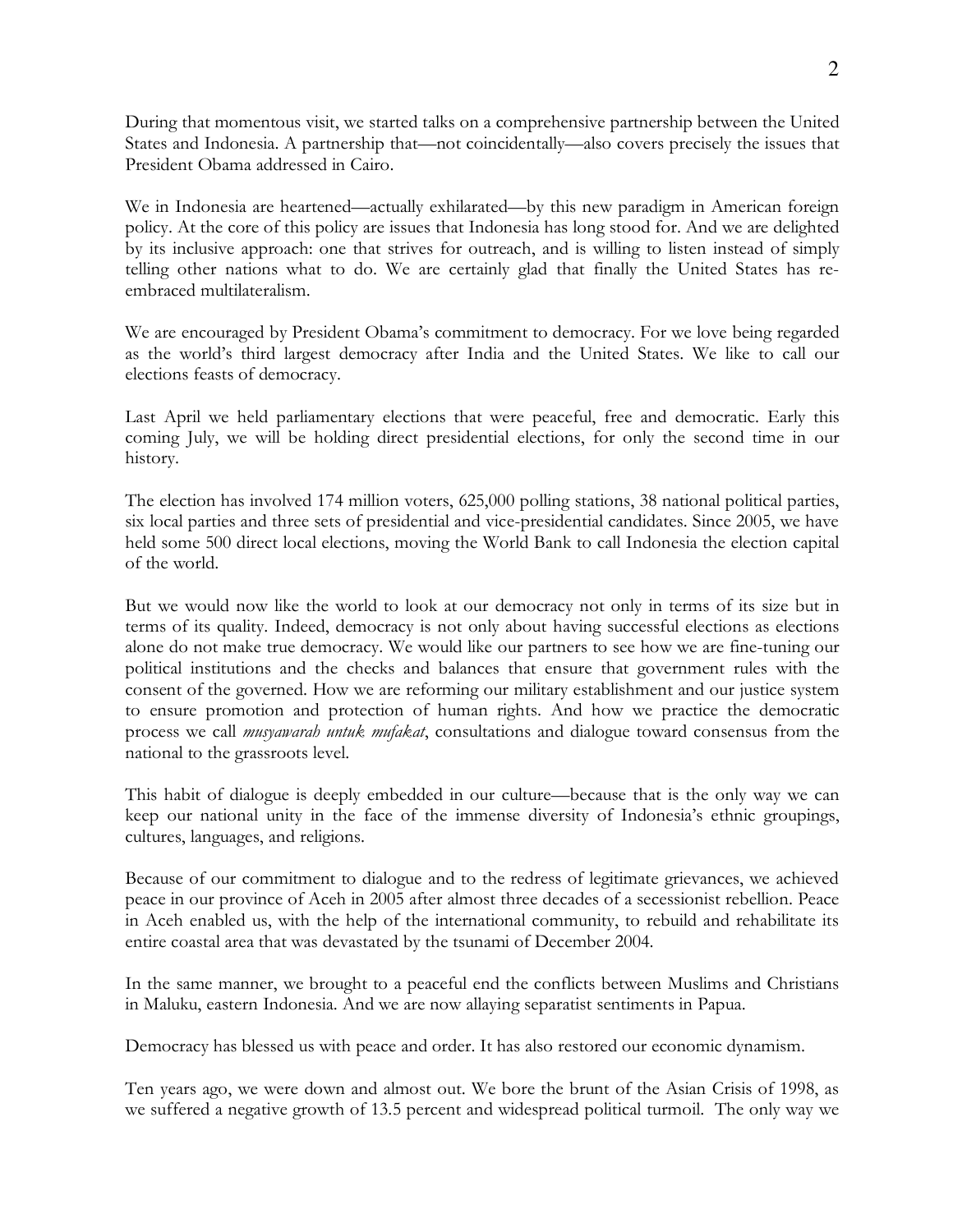During that momentous visit, we started talks on a comprehensive partnership between the United States and Indonesia. A partnership that—not coincidentally—also covers precisely the issues that President Obama addressed in Cairo.

We in Indonesia are heartened—actually exhilarated—by this new paradigm in American foreign policy. At the core of this policy are issues that Indonesia has long stood for. And we are delighted by its inclusive approach: one that strives for outreach, and is willing to listen instead of simply telling other nations what to do. We are certainly glad that finally the United States has reembraced multilateralism.

We are encouraged by President Obama's commitment to democracy. For we love being regarded as the world's third largest democracy after India and the United States. We like to call our elections feasts of democracy.

Last April we held parliamentary elections that were peaceful, free and democratic. Early this coming July, we will be holding direct presidential elections, for only the second time in our history.

The election has involved 174 million voters, 625,000 polling stations, 38 national political parties, six local parties and three sets of presidential and vice-presidential candidates. Since 2005, we have held some 500 direct local elections, moving the World Bank to call Indonesia the election capital of the world.

But we would now like the world to look at our democracy not only in terms of its size but in terms of its quality. Indeed, democracy is not only about having successful elections as elections alone do not make true democracy. We would like our partners to see how we are fine-tuning our political institutions and the checks and balances that ensure that government rules with the consent of the governed. How we are reforming our military establishment and our justice system to ensure promotion and protection of human rights. And how we practice the democratic process we call *musyawarah untuk mufakat*, consultations and dialogue toward consensus from the national to the grassroots level.

This habit of dialogue is deeply embedded in our culture—because that is the only way we can keep our national unity in the face of the immense diversity of Indonesia's ethnic groupings, cultures, languages, and religions.

Because of our commitment to dialogue and to the redress of legitimate grievances, we achieved peace in our province of Aceh in 2005 after almost three decades of a secessionist rebellion. Peace in Aceh enabled us, with the help of the international community, to rebuild and rehabilitate its entire coastal area that was devastated by the tsunami of December 2004.

In the same manner, we brought to a peaceful end the conflicts between Muslims and Christians in Maluku, eastern Indonesia. And we are now allaying separatist sentiments in Papua.

Democracy has blessed us with peace and order. It has also restored our economic dynamism.

Ten years ago, we were down and almost out. We bore the brunt of the Asian Crisis of 1998, as we suffered a negative growth of 13.5 percent and widespread political turmoil. The only way we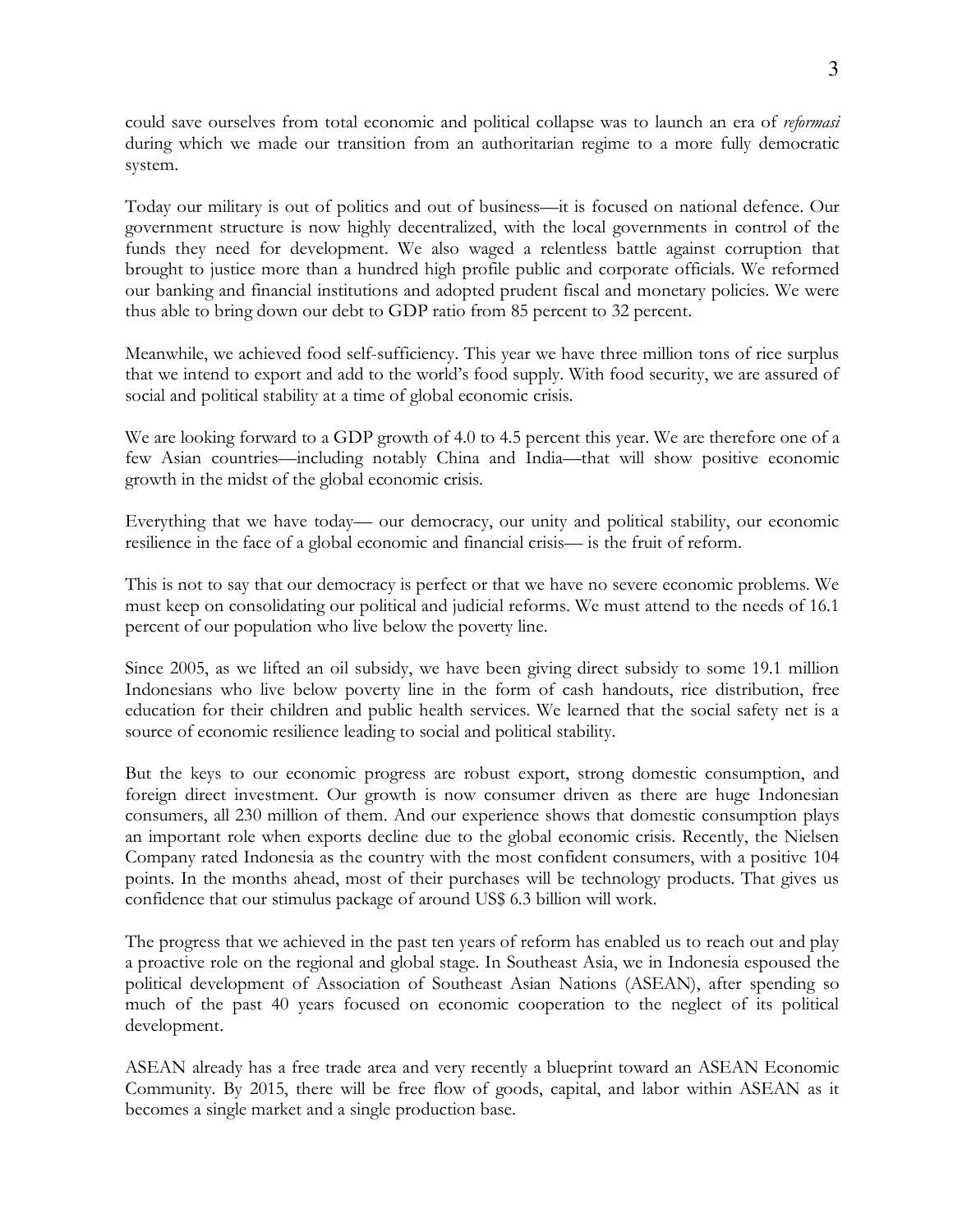could save ourselves from total economic and political collapse was to launch an era of reformasi during which we made our transition from an authoritarian regime to a more fully democratic system.

Today our military is out of politics and out of business—it is focused on national defence. Our government structure is now highly decentralized, with the local governments in control of the funds they need for development. We also waged a relentless battle against corruption that brought to justice more than a hundred high profile public and corporate officials. We reformed our banking and financial institutions and adopted prudent fiscal and monetary policies. We were thus able to bring down our debt to GDP ratio from 85 percent to 32 percent.

Meanwhile, we achieved food self-sufficiency. This year we have three million tons of rice surplus that we intend to export and add to the world's food supply. With food security, we are assured of social and political stability at a time of global economic crisis.

We are looking forward to a GDP growth of 4.0 to 4.5 percent this year. We are therefore one of a few Asian countries—including notably China and India—that will show positive economic growth in the midst of the global economic crisis.

Everything that we have today— our democracy, our unity and political stability, our economic resilience in the face of a global economic and financial crisis— is the fruit of reform.

This is not to say that our democracy is perfect or that we have no severe economic problems. We must keep on consolidating our political and judicial reforms. We must attend to the needs of 16.1 percent of our population who live below the poverty line.

Since 2005, as we lifted an oil subsidy, we have been giving direct subsidy to some 19.1 million Indonesians who live below poverty line in the form of cash handouts, rice distribution, free education for their children and public health services. We learned that the social safety net is a source of economic resilience leading to social and political stability.

But the keys to our economic progress are robust export, strong domestic consumption, and foreign direct investment. Our growth is now consumer driven as there are huge Indonesian consumers, all 230 million of them. And our experience shows that domestic consumption plays an important role when exports decline due to the global economic crisis. Recently, the Nielsen Company rated Indonesia as the country with the most confident consumers, with a positive 104 points. In the months ahead, most of their purchases will be technology products. That gives us confidence that our stimulus package of around US\$ 6.3 billion will work.

The progress that we achieved in the past ten years of reform has enabled us to reach out and play a proactive role on the regional and global stage. In Southeast Asia, we in Indonesia espoused the political development of Association of Southeast Asian Nations (ASEAN), after spending so much of the past 40 years focused on economic cooperation to the neglect of its political development.

ASEAN already has a free trade area and very recently a blueprint toward an ASEAN Economic Community. By 2015, there will be free flow of goods, capital, and labor within ASEAN as it becomes a single market and a single production base.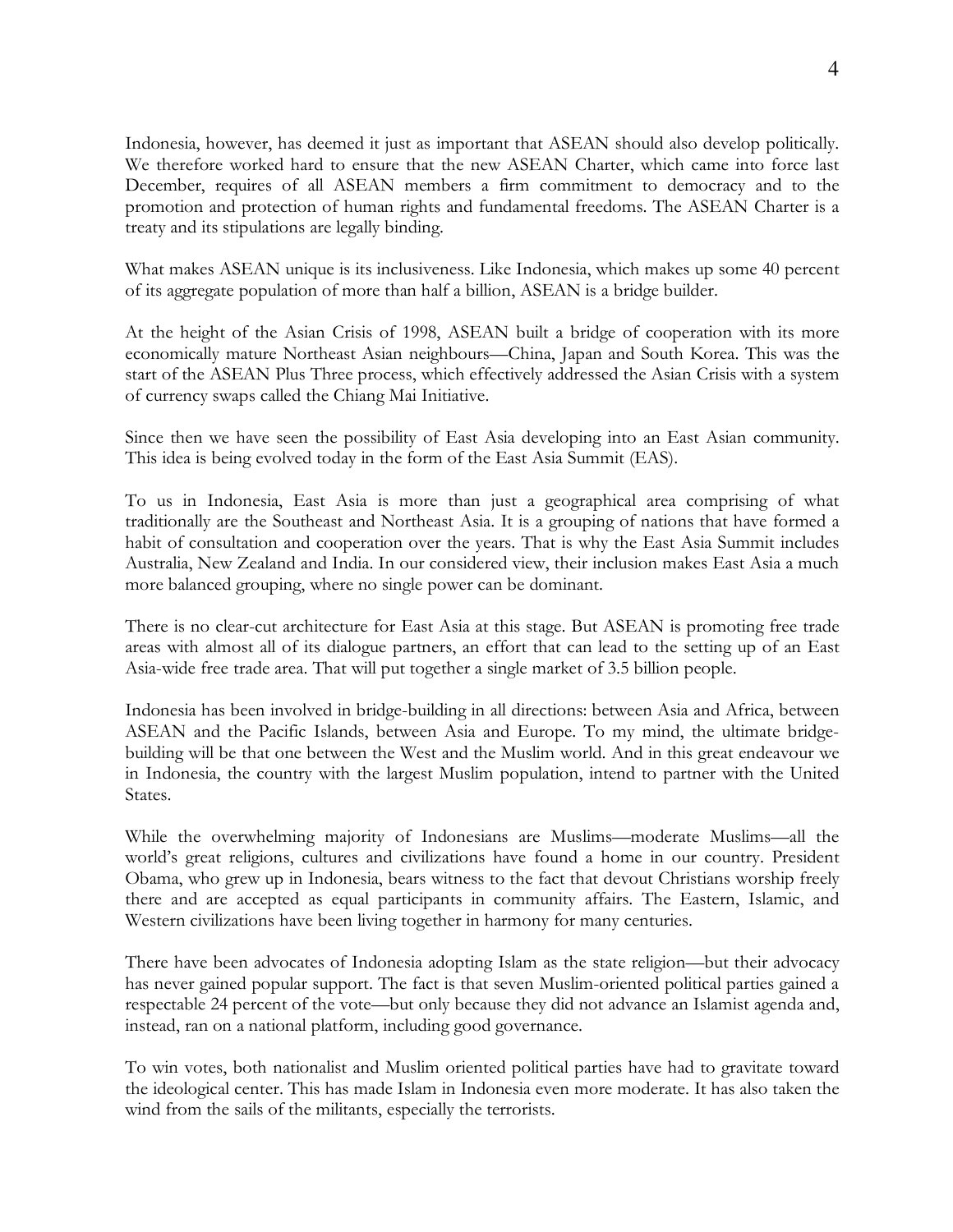Indonesia, however, has deemed it just as important that ASEAN should also develop politically. We therefore worked hard to ensure that the new ASEAN Charter, which came into force last December, requires of all ASEAN members a firm commitment to democracy and to the promotion and protection of human rights and fundamental freedoms. The ASEAN Charter is a treaty and its stipulations are legally binding.

What makes ASEAN unique is its inclusiveness. Like Indonesia, which makes up some 40 percent of its aggregate population of more than half a billion, ASEAN is a bridge builder.

At the height of the Asian Crisis of 1998, ASEAN built a bridge of cooperation with its more economically mature Northeast Asian neighbours—China, Japan and South Korea. This was the start of the ASEAN Plus Three process, which effectively addressed the Asian Crisis with a system of currency swaps called the Chiang Mai Initiative.

Since then we have seen the possibility of East Asia developing into an East Asian community. This idea is being evolved today in the form of the East Asia Summit (EAS).

To us in Indonesia, East Asia is more than just a geographical area comprising of what traditionally are the Southeast and Northeast Asia. It is a grouping of nations that have formed a habit of consultation and cooperation over the years. That is why the East Asia Summit includes Australia, New Zealand and India. In our considered view, their inclusion makes East Asia a much more balanced grouping, where no single power can be dominant.

There is no clear-cut architecture for East Asia at this stage. But ASEAN is promoting free trade areas with almost all of its dialogue partners, an effort that can lead to the setting up of an East Asia-wide free trade area. That will put together a single market of 3.5 billion people.

Indonesia has been involved in bridge-building in all directions: between Asia and Africa, between ASEAN and the Pacific Islands, between Asia and Europe. To my mind, the ultimate bridgebuilding will be that one between the West and the Muslim world. And in this great endeavour we in Indonesia, the country with the largest Muslim population, intend to partner with the United States.

While the overwhelming majority of Indonesians are Muslims—moderate Muslims—all the world's great religions, cultures and civilizations have found a home in our country. President Obama, who grew up in Indonesia, bears witness to the fact that devout Christians worship freely there and are accepted as equal participants in community affairs. The Eastern, Islamic, and Western civilizations have been living together in harmony for many centuries.

There have been advocates of Indonesia adopting Islam as the state religion—but their advocacy has never gained popular support. The fact is that seven Muslim-oriented political parties gained a respectable 24 percent of the vote—but only because they did not advance an Islamist agenda and, instead, ran on a national platform, including good governance.

To win votes, both nationalist and Muslim oriented political parties have had to gravitate toward the ideological center. This has made Islam in Indonesia even more moderate. It has also taken the wind from the sails of the militants, especially the terrorists.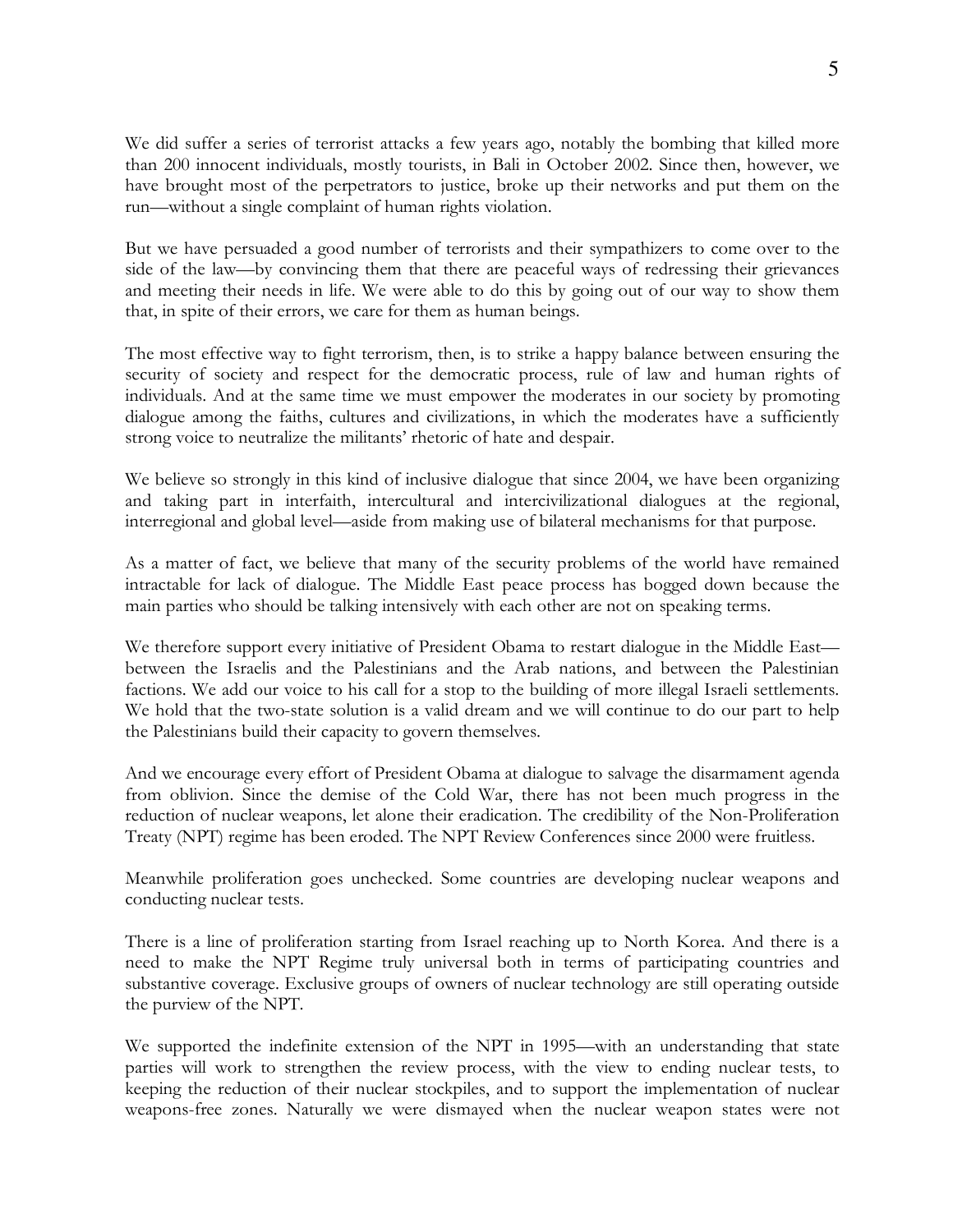We did suffer a series of terrorist attacks a few years ago, notably the bombing that killed more than 200 innocent individuals, mostly tourists, in Bali in October 2002. Since then, however, we have brought most of the perpetrators to justice, broke up their networks and put them on the run—without a single complaint of human rights violation.

But we have persuaded a good number of terrorists and their sympathizers to come over to the side of the law—by convincing them that there are peaceful ways of redressing their grievances and meeting their needs in life. We were able to do this by going out of our way to show them that, in spite of their errors, we care for them as human beings.

The most effective way to fight terrorism, then, is to strike a happy balance between ensuring the security of society and respect for the democratic process, rule of law and human rights of individuals. And at the same time we must empower the moderates in our society by promoting dialogue among the faiths, cultures and civilizations, in which the moderates have a sufficiently strong voice to neutralize the militants' rhetoric of hate and despair.

We believe so strongly in this kind of inclusive dialogue that since 2004, we have been organizing and taking part in interfaith, intercultural and intercivilizational dialogues at the regional, interregional and global level—aside from making use of bilateral mechanisms for that purpose.

As a matter of fact, we believe that many of the security problems of the world have remained intractable for lack of dialogue. The Middle East peace process has bogged down because the main parties who should be talking intensively with each other are not on speaking terms.

We therefore support every initiative of President Obama to restart dialogue in the Middle East between the Israelis and the Palestinians and the Arab nations, and between the Palestinian factions. We add our voice to his call for a stop to the building of more illegal Israeli settlements. We hold that the two-state solution is a valid dream and we will continue to do our part to help the Palestinians build their capacity to govern themselves.

And we encourage every effort of President Obama at dialogue to salvage the disarmament agenda from oblivion. Since the demise of the Cold War, there has not been much progress in the reduction of nuclear weapons, let alone their eradication. The credibility of the Non-Proliferation Treaty (NPT) regime has been eroded. The NPT Review Conferences since 2000 were fruitless.

Meanwhile proliferation goes unchecked. Some countries are developing nuclear weapons and conducting nuclear tests.

There is a line of proliferation starting from Israel reaching up to North Korea. And there is a need to make the NPT Regime truly universal both in terms of participating countries and substantive coverage. Exclusive groups of owners of nuclear technology are still operating outside the purview of the NPT.

We supported the indefinite extension of the NPT in 1995—with an understanding that state parties will work to strengthen the review process, with the view to ending nuclear tests, to keeping the reduction of their nuclear stockpiles, and to support the implementation of nuclear weapons-free zones. Naturally we were dismayed when the nuclear weapon states were not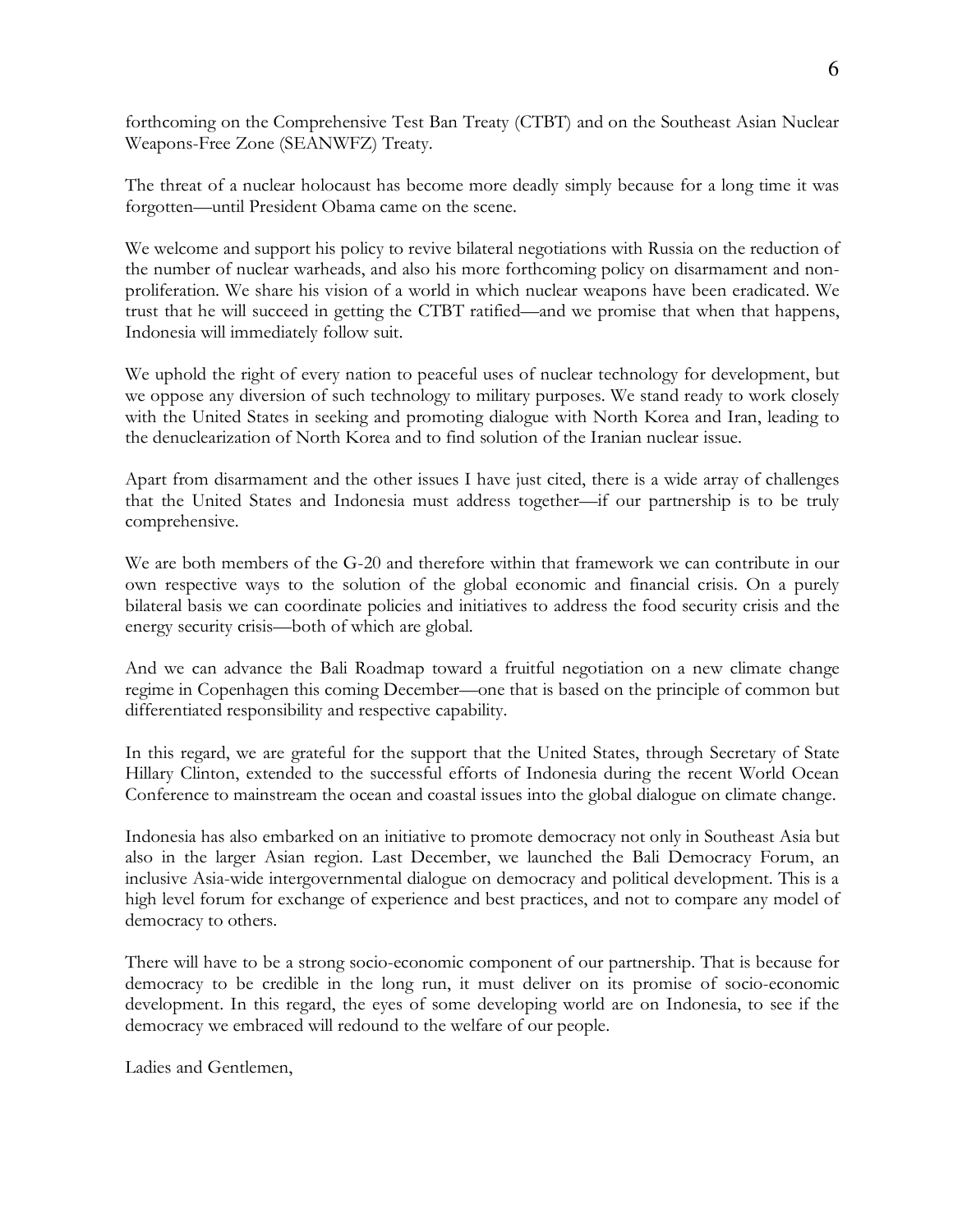forthcoming on the Comprehensive Test Ban Treaty (CTBT) and on the Southeast Asian Nuclear Weapons-Free Zone (SEANWFZ) Treaty.

The threat of a nuclear holocaust has become more deadly simply because for a long time it was forgotten—until President Obama came on the scene.

We welcome and support his policy to revive bilateral negotiations with Russia on the reduction of the number of nuclear warheads, and also his more forthcoming policy on disarmament and nonproliferation. We share his vision of a world in which nuclear weapons have been eradicated. We trust that he will succeed in getting the CTBT ratified—and we promise that when that happens, Indonesia will immediately follow suit.

We uphold the right of every nation to peaceful uses of nuclear technology for development, but we oppose any diversion of such technology to military purposes. We stand ready to work closely with the United States in seeking and promoting dialogue with North Korea and Iran, leading to the denuclearization of North Korea and to find solution of the Iranian nuclear issue.

Apart from disarmament and the other issues I have just cited, there is a wide array of challenges that the United States and Indonesia must address together—if our partnership is to be truly comprehensive.

We are both members of the G-20 and therefore within that framework we can contribute in our own respective ways to the solution of the global economic and financial crisis. On a purely bilateral basis we can coordinate policies and initiatives to address the food security crisis and the energy security crisis—both of which are global.

And we can advance the Bali Roadmap toward a fruitful negotiation on a new climate change regime in Copenhagen this coming December—one that is based on the principle of common but differentiated responsibility and respective capability.

In this regard, we are grateful for the support that the United States, through Secretary of State Hillary Clinton, extended to the successful efforts of Indonesia during the recent World Ocean Conference to mainstream the ocean and coastal issues into the global dialogue on climate change.

Indonesia has also embarked on an initiative to promote democracy not only in Southeast Asia but also in the larger Asian region. Last December, we launched the Bali Democracy Forum, an inclusive Asia-wide intergovernmental dialogue on democracy and political development. This is a high level forum for exchange of experience and best practices, and not to compare any model of democracy to others.

There will have to be a strong socio-economic component of our partnership. That is because for democracy to be credible in the long run, it must deliver on its promise of socio-economic development. In this regard, the eyes of some developing world are on Indonesia, to see if the democracy we embraced will redound to the welfare of our people.

Ladies and Gentlemen,